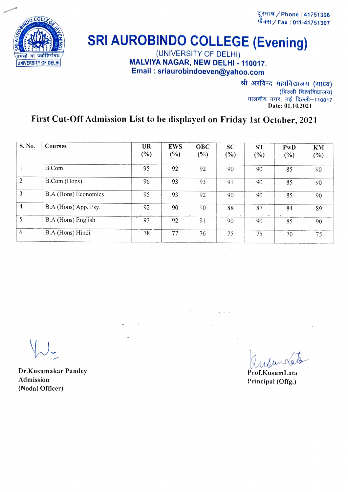दूरमाष / Phone : 41751306 फैक्स / Fax: 011-41751307



## **SRI AUROBINDO COLLEGE (Evening)**

MALVIYA NAGAR, NEW DELHI - 110017. Email : sriaurobindoeven@yahoo.com

> श्री अरविन्द महाविद्यालय (सांध्य)<br>(दिल्ली विश्वविद्यालय)<br>मालवीय नगर, नई दिल्ली–110017 Date: 01.10.2021

## First Cut-Off Admission List to be displayed on Friday 1st October, 2021

| S. No.         | Courses                              | UR<br>$(\%)$ | <b>EWS</b><br>(%) | <b>OBC</b><br>$(\%)$  | <b>SC</b><br>(%)    | <b>ST</b><br>(%) | PwD<br>$(\%)$ | KM<br>$(\%)$ |
|----------------|--------------------------------------|--------------|-------------------|-----------------------|---------------------|------------------|---------------|--------------|
|                | B.Com                                | 95           | 92                | 92                    | 90                  | 90               | 85            | 90           |
| $\overline{2}$ | B.Com (Hons)                         | 96           | 93                | 93                    | 91                  | 90               | 85            | 90           |
| 3              | B.A (Hons) Economics                 | 95           | 93                | 92                    | 90                  | 90               | 85            | 90           |
| $\overline{4}$ | B.A (Hons) App. Psy.                 | 92           | 90                | 90                    | 88                  | 87<br>$\cdot$    | 84            | 89           |
| 5              | $\overline{ }$<br>B.A (Hons) English | 93           | 92                | 91                    | 90                  | 90               | 85            | 90           |
| 6              | B.A (Hons) Hindi                     | 78           | 77                | 76<br>$\cdot$ $\cdot$ | 75<br>$\sim$ $\sim$ | 75               | 70            | 75           |

Dr.Kusumakar Pandey<br>
Admission Prof.KusumLata<br>
Principal (Offe) Admission Principal (Offg.)<br>(Nodal Officer) (Nodal Officer)